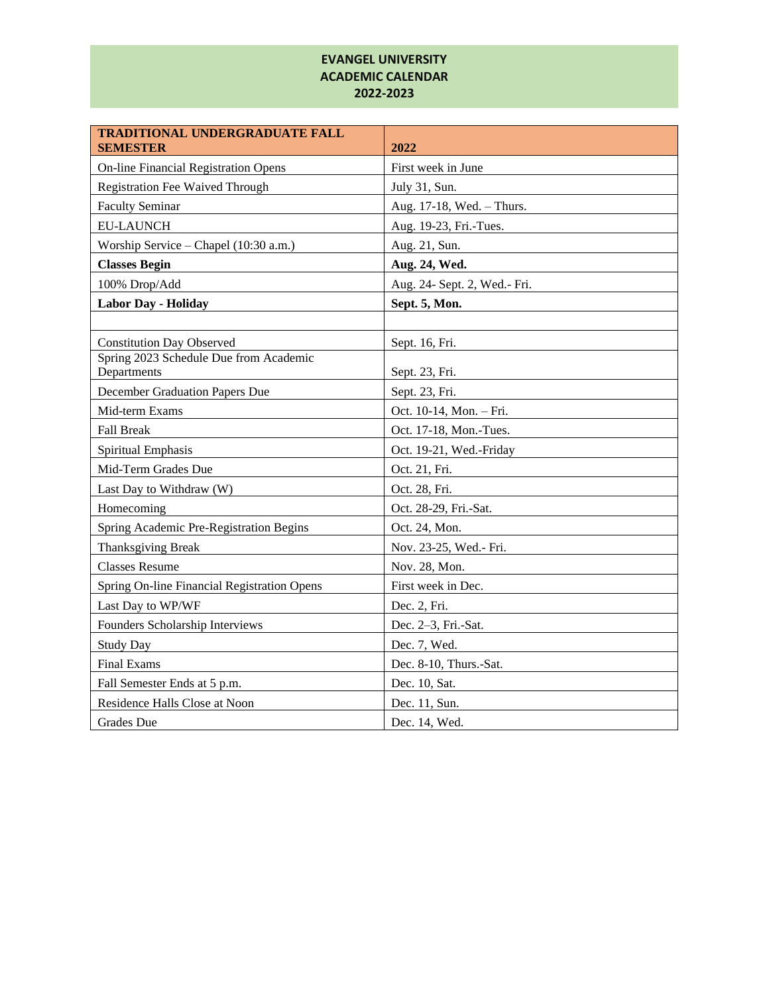## **EVANGEL UNIVERSITY ACADEMIC CALENDAR 2022-2023**

| <b>TRADITIONAL UNDERGRADUATE FALL</b><br><b>SEMESTER</b> | 2022                         |
|----------------------------------------------------------|------------------------------|
| <b>On-line Financial Registration Opens</b>              | First week in June           |
| <b>Registration Fee Waived Through</b>                   | July 31, Sun.                |
| <b>Faculty Seminar</b>                                   | Aug. 17-18, Wed. - Thurs.    |
| <b>EU-LAUNCH</b>                                         | Aug. 19-23, Fri.-Tues.       |
| Worship Service – Chapel (10:30 a.m.)                    | Aug. 21, Sun.                |
| <b>Classes Begin</b>                                     | Aug. 24, Wed.                |
| 100% Drop/Add                                            | Aug. 24- Sept. 2, Wed.- Fri. |
| <b>Labor Day - Holiday</b>                               | Sept. 5, Mon.                |
|                                                          |                              |
| <b>Constitution Day Observed</b>                         | Sept. 16, Fri.               |
| Spring 2023 Schedule Due from Academic<br>Departments    | Sept. 23, Fri.               |
| December Graduation Papers Due                           | Sept. 23, Fri.               |
| Mid-term Exams                                           | Oct. 10-14, Mon. - Fri.      |
| <b>Fall Break</b>                                        | Oct. 17-18, Mon.-Tues.       |
| Spiritual Emphasis                                       | Oct. 19-21, Wed.-Friday      |
| Mid-Term Grades Due                                      | Oct. 21, Fri.                |
| Last Day to Withdraw (W)                                 | Oct. 28, Fri.                |
| Homecoming                                               | Oct. 28-29, Fri.-Sat.        |
| Spring Academic Pre-Registration Begins                  | Oct. 24, Mon.                |
| <b>Thanksgiving Break</b>                                | Nov. 23-25, Wed.- Fri.       |
| <b>Classes Resume</b>                                    | Nov. 28, Mon.                |
| Spring On-line Financial Registration Opens              | First week in Dec.           |
| Last Day to WP/WF                                        | Dec. 2, Fri.                 |
| Founders Scholarship Interviews                          | Dec. 2-3, Fri.-Sat.          |
| <b>Study Day</b>                                         | Dec. 7, Wed.                 |
| <b>Final Exams</b>                                       | Dec. 8-10, Thurs.-Sat.       |
| Fall Semester Ends at 5 p.m.                             | Dec. 10, Sat.                |
| Residence Halls Close at Noon                            | Dec. 11, Sun.                |
| <b>Grades</b> Due                                        | Dec. 14, Wed.                |